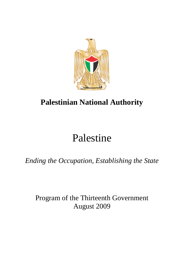

# **Palestinian National Authority**

# Palestine

# *Ending the Occupation, Establishing the State*

Program of the Thirteenth Government August 2009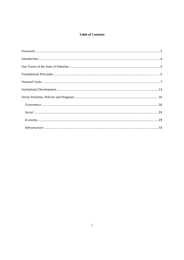# **Table of Contents**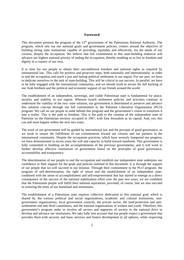#### **Foreword**

This document presents the program of the  $13<sup>th</sup>$  government of the Palestinian National Authority. The program, which sets out our national goals and government policies, centers around the objective of building strong state institutions capable of providing, equitably and effectively, for the needs of our citizens, despite the occupation. We believe that full commitment to this state-building endeavor will advance our highest national priority of ending the occupation, thereby enabling us to live in freedom and dignity in a country of our own.

It is time for our people to obtain their unconditional freedom and national rights as required by international law. This calls for positive and proactive steps, both nationally and internationally, in order to end the occupation and reach a just and lasting political settlement in our region. For our part, we have to dedicate ourselves to the task of state-building. This will be critical to our success. In parallel, we have to be fully engaged with the international community, and we should work to secure the full backing of our Arab brethren and the political and economic support of our friends around the world.

The establishment of an independent, sovereign, and viable Palestinian state is fundamental for peace, security and stability in our region. Whereas Israeli settlement policies and activities continue to undermine the viability of the two- state solution, our government is determined to preserve and advance this solution concept through our full commitment to the Palestine Liberation Organization (PLO) program. We call on our people to unite behind this program and the government's vision to transform it into a reality. This is the path to freedom. This is the path to the creation of the independent state of Palestine on the Palestinian territory occupied in 1967, with East Jerusalem as its capital. And, yes, this can and must happen within the next two years.

The work of our government will be guided by international law and the precepts of good governance, as we work to ensure the fulfillment of our commitments toward our citizens and our partners in the international community. Despite the occupation practices, which have severely hampered our progress, we have demonstrated in recent years the will and capacity to build toward statehood. This government is fully committed to building on the accomplishments of the previous governments, and it will work to further develop effective institutions of government based on the principles of good governance, accountability and transparency.

The determination of our people to end the occupation and establish our independent state underpins our confidence in their support for the goals and policies outlined in this document. It is through the support of our people that we will succeed in our mission. Through their commitment to the PLO program- the program of self-determination, the right of return and the establishment of an independent statecombined with the sense of accomplishment and self-empowerment that has started to emerge as a direct consequence of the success of the national stabilization effort over the past two years, we are confident that the Palestinian people will fulfill their national aspirations, provided, of course, that we also succeed in restoring the unity of our homeland and institutions.

The establishment of a Palestinian state requires collective dedication to this national goal, which is shared by the various political and social organizations, academic and cultural institutions, nongovernment organizations, local government councils, the private sector, the land-protection and antisettlements and anti-Wall committees, and the national organizations of women and youth. Therefore, this government's program seeks to involve all sectors and segments of society in the national drive to develop and advance our institutions. We take fully into account that our people expect a government that provides them with security and basic services and fosters development in all spheres, while respecting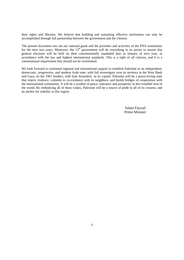their rights and liberties. We believe that building and sustaining effective institutions can only be accomplished through full partnership between the government and the citizens.

The present document sets out our national goals and the priorities and activities of the PNA institutions for the next two years. Moreover, the  $13<sup>th</sup>$  government will do everything in its power to ensure that general elections will be held on their constitutionally mandated date in January of next year, in accordance with the law and highest international standards. This is a right of all citizens, and it is a constitutional requirement that should not be overlooked.

We look forward to continued regional and international support to establish Palestine as an independent, democratic, progressive, and modern Arab state, with full sovereignty over its territory in the West Bank and Gaza, on the 1967 borders, with East Jerusalem as its capital. Palestine will be a peace-loving state that rejects violence, commits to co-existence with its neighbors, and builds bridges of cooperation with the international community. It will be a symbol of peace, tolerance and prosperity in this troubled area of the world. By embodying all of these values, Palestine will be a source of pride to all of its citizens, and an anchor for stability in this region.

> Salam Fayyad Prime Minister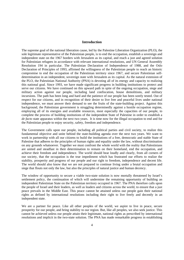# **Introduction**

The supreme goal of the national liberation cause, led by the Palestine Liberation Organization (PLO), the sole legitimate representative of the Palestinian people, is to end the occupation, establish a sovereign and independent state on the 1967 borders with Jerusalem as its capital, and reach a just and agreed solution for Palestinian refugees in accordance with relevant international resolutions, and UN General Assembly Resolution 194 in particular. The Palestinian Declaration of Independence of 1988, and the Oslo Declaration of Principles of 1993, affirmed the willingness of the Palestinian people to reach an historic compromise to end the occupation of the Palestinian territory since 1967, and secure Palestinian selfdetermination in an independent, sovereign state with Jerusalem as its capital. As the natural extension of the PLO, the Palestinian National Authority (PNA) is devoting all of its energy and capacity to realizing this national goal. Since 1993, we have made significant progress in building institutions to protect and serve our citizens. We have continued on this upward path in spite of the ongoing occupation, siege and military action against our people, including land confiscation, house demolitions, and military incursions. The path has been long and hard and the patience of our people has been sorely tested. Out of respect for our citizens, and in recognition of their desire to live free and peaceful lives under national independence, we must answer their demand to see the fruits of the state-building project. Against this background, the Palestinian government is struggling determinedly against a hostile occupation regime, employing all of its energies and available resources, most especially the capacities of our people, to complete the process of building institutions of the independent State of Palestine in order to establish a *de facto* state apparatus within the next two years. It is time now for the illegal occupation to end and for the Palestinian people to enjoy security, safety, freedom and independence.

The Government calls upon our people, including all political parties and civil society, to realize this fundamental objective and unite behind the state-building agenda over the next two years. We want to work in partnership with all our citizens to build the institutions of a free, democratic and stable State of Palestine that adheres to the principles of human rights and equality under the law, without discrimination on any grounds whatsoever. Together we must confront the whole world with the reality that Palestinians are united and steadfast in their determination to remain on their homeland, end the occupation, and achieve their freedom and independence. The world should hear loudly and clearly, from all corners of our society, that the occupation is the true impediment which has frustrated our efforts to realize the stability, prosperity and progress of our people and our right to freedom, independence and decent life. The world should also know that we are not prepared to continue living under a brutal occupation and siege that flouts not only the law, but also the principles of natural justice and human decency.

The window of opportunity to secure a viable two-state solution is now mortally threatened by Israel's settlement policy, the continuation of which will undermine the remaining opportunity of building an independent Palestinian State on the Palestinian territory occupied in 1967. The PNA therefore calls upon the people of Israel and their leaders, as well as leaders and citizens across the world, to ensure that a just peace prevails in the Middle East. This peace cannot be attained unless our people gain their national rights as defined by international resolutions including their right to live freely and decently in an independent state.

We are a partner for peace. Like all other peoples of the world, we aspire to live in peace, secure prosperity for our people, and bring stability to our region. But, like all peoples, we also seek justice. This cannot be achieved unless our people attain their legitimate, national rights as prescribed by international resolutions and implicit in the two-state solution. The PNA has made remarkable progress in establishing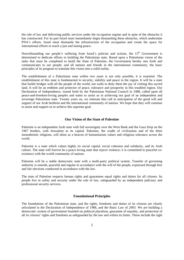the rule of law and delivering public services under the occupation regime and in spite of the obstacles it has constructed. For its part Israel must immediately begin dismantling these obstacles, which undermine PNA's efforts. Israel must dismantle the infrastructure of the occupation and create the space for international efforts to reach a just and lasting peace.

Notwithstanding our people's suffering from Israel's policies and actions, the  $13<sup>th</sup>$  Government is determined to dedicate efforts to building the Palestinian state. Based upon a Palestinian vision of the tasks that must be completed to build the State of Palestine, the Government hereby sets forth and communicates to our people, and all nations and friends in the international community, the basic principles of its program to translate this vision into a solid reality.

The establishment of a Palestinian state within two years is not only possible, it is essential. The establishment of this state is fundamental to security, stability and peace in the region. It will be a state that builds bridges with all the people of the world, not walls to deny them the joy of visiting this sacred land. It will be an emblem and protector of peace, tolerance and prosperity in this troubled region. Our Declaration of Independence, issued forth by the Palestinian National Council in 1988, called upon all peace-and-freedom-loving peoples and states to assist us in achieving our goal of an independent and sovereign Palestinian state. Twenty years on, we reiterate that call in anticipation of the good will and support of our Arab brethren and the international community of nations. We hope that they will continue to assist and support us to achieve this supreme goal.

# **Our Vision of the State of Palestine**

Palestine is an independent Arab state with full sovereignty over the West Bank and the Gaza Strip on the 1967 borders, with Jerusalem as its capital. Palestine, the cradle of civilization and of the three monotheistic religions, will shine as a beacon of humanitarian values and religious tolerance across the world.

Palestine is a state which values highly its social capital, social cohesion and solidarity, and its Arab culture. The state will forever be a peace loving state that rejects violence; it is committed to peaceful coexistence with the world community of nations.

Palestine will be a stable democratic state with a multi-party political system. Transfer of governing authority is smooth, peaceful and regular in accordance with the will of the people, expressed through free and fair elections conducted in accordance with the law.

The state of Palestine respects human rights and guarantees equal rights and duties for all citizens. Its people live in safety and security under the rule of law, safeguarded by an independent judiciary and professional security services.

# **Foundational Principles**

The foundations of the Palestinian state, and the rights, freedoms and duties of its citizens are clearly articulated in the Declaration of Independence of 1988, and the Basic Law of 2003. We are building a democratic system of government founded on political pluralism, guarantee of equality, and protection of all its citizens' rights and freedoms as safeguarded by the law and within its limits. These include the right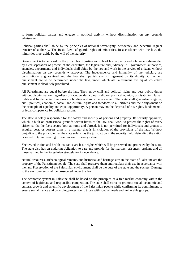to form political parties and engage in political activity without discrimination on any grounds whatsoever.

Political parties shall abide by the principles of national sovereignty, democracy and peaceful, regular transfer of authority. The Basic Law safeguards rights of minorities. In accordance with the law, the minorities must abide by the will of the majority.

Government is to be based on the principles of justice and rule of law, equality and tolerance, safeguarded by clear separation of powers of the executive, the legislature and judiciary. All government authorities, agencies, departments and individuals shall abide by the law and work in the service of citizens without discrimination on any grounds whatsoever. The independence and immunity of the judiciary are constitutionally guaranteed and the law shall punish any infringement on its dignity. Crime and punishment are to be determined under the law, under which all Palestinians are equal; collective punishment is absolutely prohibited.

All Palestinians are equal before the law. They enjoy civil and political rights and bear public duties without discrimination, regardless of race, gender, colour, religion, political opinion, or disability. Human rights and fundamental freedoms are binding and must be respected. The state shall guarantee religious, civil, political, economic, social, and cultural rights and freedoms to all citizens and their enjoyment on the principle of equality and equal opportunity. A person may not be deprived of his rights, fundamental, or legal competence for political reasons.

The state is solely responsible for the safety and security of persons and property. Its security apparatus, which is built on professional grounds within limits of the law, shall work to protect the rights of every citizen so that he feels secure both at home and abroad. It is not permitted for individuals and groups to acquire, bear, or possess arms in a manner that is in violation of the provisions of the law. Without prejudice to the principle that the state solely has the jurisdiction in the security field, defending the nation is sacred duty and serving it is an honour for every citizen.

Shelter, education and health insurance are basic rights which will be preserved and protected by the state. The state also has an enduring obligation to care and provide for the martyrs, prisoners, orphans and all those harmed in the Palestinian struggle for independence.

Natural resources, archaeological remains, and historical and heritage sites in the State of Palestine are the property of the Palestinian people. The state shall preserve them and regulate their use in accordance with the law. Preservation of the Palestinian environment shall be the duty of the state and the society. Damage to the environment shall be prosecuted under the law.

The economic system in Palestine shall be based on the principles of a free market economy within the context of legitimate and responsible competition. The state shall strive to promote social, economic and cultural growth and scientific development of the Palestinian people while confirming its commitment to ensure social justice and providing protection to those with special needs and vulnerable groups.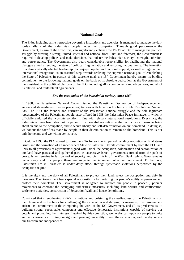#### **National Goals**

The PNA, including all its respective governing institutions and agencies, is mandated to manage the dayto-day affairs of the Palestinian people under the occupation. Through good performance the Government, as arm of the Executive, can significantly enhance the PLO's ability to manage the political struggle by creating a strong, united, internal and national front. First and foremost, the Government is required to develop policies and make decisions that bolster the Palestinian society's strength, cohesion, and perseverance. The Government also bears considerable responsibility for facilitating the national dialogue aimed at ending the state of political fragmentation and restoring national unity. The formation of a democratically-elected leadership that enjoys popular and factional support, as well as regional and international recognition, is an essential step towards realising the supreme national goal of establishing the State of Palestine. In pursuit of this supreme goal, the 13<sup>th</sup> Government hereby asserts its binding commitment to the following national goals on the basis of its absolute dedication, as the Government of the President, to the political platform of the PLO, including all its components and obligations, and all of its bilateral and multilateral agreements.

#### *End the occupation of the Palestinian territory since 1967*

In 1988, the Palestinian National Council issued the Palestinian Declaration of Independence and announced its readiness to enter peace negotiations with Israel on the basis of UN Resolutions 242 and 338. The PLO, the founder and nurturer of the Palestinian national struggle and the sole legitimate representative of the Palestinian people, also offered in 1988 the Palestinian Peace Initiative, in which it officially endorsed the two-state solution in line with relevant international resolutions. Ever since, the Palestinians have been steadfast in pursuit of a peaceful resolution to the conflict as a means to bring about an end to the occupation, and to secure liberty and self-determination on our homeland. In doing so, we honour the sacrifices made by people in their determination to remain on the homeland. This is our only homeland and we will never leave it.

In Oslo in 1993, the PLO agreed to form the PNA for an interim period, pending resolution of final status issues and the formation of an independent State of Palestine. Despite commitment by both the PLO and PNA to all provisions of agreements signed with Israel, the occupation, colonization and cantonization of our land have persisted and gathered pace as successive Israeli governments turned from the path of peace. Israel remains in full control of security and civil life in of the West Bank, whilst Gaza remains under siege and our people there are subjected to inhuman collective punishment. Furthermore, Palestinian life in Jerusalem is under daily attack through systematic violations perpetrated by the occupation regime

It is the right and the duty of all Palestinians to protect their land, reject the occupation and defy its measures. The Government bears special responsibility for nurturing our people's ability to persevere and protect their homeland. The Government is obligated to support our people in peaceful, popular movements to confront the occupying authorities' measures, including land seizure and confiscation, settlement activities, construction of Separation Wall, and house demolitions.

Convinced that strengthening PNA's institutions and bolstering the steadfastness of the Palestinians on their homeland is the basis for challenging the occupation and defying its measures, this Government affirms its commitment to the completing the work of the  $12<sup>th</sup>$  Government, and all its predecessors, to building strong, sustainable, competent and effective democratic institutions capable of serving our people and protecting their interests. Inspired by this conviction, we hereby call upon our people to unite and work towards affirming our right and proving our ability to end the occupation, and thereby secure our freedom and independence.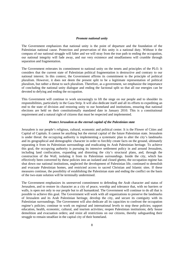#### *Promote national unity*

The Government emphasizes that national unity is the point of departure and the foundation of the Palestinian national cause. Protection and preservation of this unity is a national duty. Without it the compass of our national struggle will falter and we will stray from the true path to ending the occupation, our national integrity will fade away, and our very existence and steadfastness will crumble through separation and fragmentation.

The Government reiterates its commitment to national unity on the tenets and principles of the PLO. It considers that the current state of Palestinian political fragmentation is destructive and contrary to our national interest. In this context, the Government affirms its commitment to the principle of political pluralism. However, it does not deem the present split to be a legitimate representation of political pluralism, but rather a threat to such pluralism. Therefore, as a government, we emphasize the importance of concluding the national unity dialogue and ending the factional split so that all our energies can be devoted to defying and ending the occupation.

This Government will continue to work unceasingly to lift the siege on our people and to shoulder its responsibilities, particularly in the Gaza Strip. It will also dedicate itself and all its efforts to expediting an end to the state of division and restoring unity to our homeland and institutions, ensuring that national elections are held on their constitutionally mandated date in January 2010. This is a constitutional requirement and a natural right of citizens that must be respected and implemented.

#### *Protect Jerusalem as the eternal capital of the Palestinian state*

Jerusalem is our people's religious, cultural, economic and political center. It is the Flower of Cities and Capital of Capitals. It cannot be anything but the eternal capital of the future Palestinian state. Jerusalem is under threat: the occupying authority is implementing a systematic plan to alter the city's landmarks and its geographical and demographic character in order to forcibly create facts on the ground, ultimately separating it from its Palestinian surroundings and eradicating its Arab Palestinian heritage. To achieve this goal, the occupying authority is pursuing its intensive settlement policy in and around Jerusalem, including land confiscation, expanding and distorting the city's structural plans, and, through the construction of the Wall, isolating it from its Palestinian surroundings. Inside the city, which has effectively been converted by these policies into an isolated and closed ghetto, the occupation regime has shut down our national institutions, neglected the development of Palestinian life, continued to demolish and evacuate Palestinian homes, and restricted access to sacred Christian and Islamic sites. If these measures continue, the possibility of establishing the Palestinian state and ending the conflict on the basis of the two-state solution will be terminally undermined.

The Government emphasizes its unreserved commitment to defending the Arab character and status of Jerusalem, and to restore its character as a city of peace, worship and tolerance that, with no barriers or walls, is open not only to our people but to all humankind. The Government will continue to do all that is possible to achieve this goal. The Government will work with all organizations to preserve the landmarks of Jerusalem and its Arab Palestinian heritage, develop the city, and secure its contiguity with its Palestinian surroundings. The Government will also dedicate all its capacities to confront the occupation regime's policies; continue to work on regional and international levels to stop these policies; support education, health, economic, cultural, and tourism activities; reopen Palestinian institutions; defy house demolition and evacuation orders; and resist all restrictions on our citizens, thereby safeguarding their struggle to remain steadfast in the capital city of their homeland.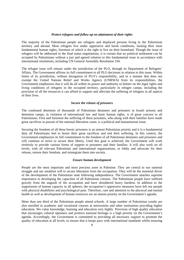#### *Protect refugees and follow up on attainment of their rights*

The majority of the Palestinian people are refugees and displaced persons living in the Palestinian territory and abroad. Most refugees live under oppressive and harsh conditions, lacking their most fundamental human rights, foremost of which is the right to live on their homeland. Though the issue of refugees will be addressed in the final status negotiations, it is certain that no political settlement can be accepted by Palestinians without a just and agreed solution to this fundamental issue in accordance with international resolutions, including UN General Assembly Resolution 194.

The refugee issue will remain under the jurisdiction of the PLO, through its Department of Refugees' Affairs. The Government affirms its full commitment to all PLO decisions in relation to this issue. Within limits of its jurisdiction, without derogation of PLO's responsibility, and in a manner that does not exempt the United Nations Relief and Works Agency (UNRWA) from its responsibilities, the Government emphasizes that it will do all within its power and authority to bolster on the legal rights and living conditions of refugees in the occupied territory, particularly in refugee camps, including the provision of all the resources it can afford to support and alleviate the suffering of refugees in all aspects of their lives.

#### *Secure the release of prisoners*

The continued detention of thousands of Palestinian detainees and prisoners in Israeli prisons and detention camps, in violation of international law and basic human rights, is of great concern to all Palestinians. First and foremost the suffering of these prisoners, who along with their families have made great sacrifices in pursuit of the national liberation cause, is a political and humanitarian issue.

Securing the freedom of all these heroic prisoners is an utmost Palestinian priority and it is a fundamental duty all Palestinians feel to honor their great sacrifices and end their suffering. In this context, the Government emphasizes its full commitment to the freedom of all Palestinian detainees and prisoners and will continue to strive to secure their liberty. Until this goal is achieved, the Government will work tirelessly to provide various forms of support to prisoners and their families. It will also work on all levels, with all relevant Palestinian and international organizations, to lobby and advocate for their release, restore their freedom, and reintegrate them into society.

#### *Ensure human development*

People are the most important and most precious asset in Palestine. They are central to our national struggle and our steadfast will to secure liberation from the occupation. They will be the essential driver of the development of the Palestinian state following independence. The Government attaches supreme importance to developing the capacities of all Palestinian citizens. The Palestinian people have suffered gravely from the anguish of the occupation and have shouldered heavy burdens. In addition to the suppression of human capacity in all spheres, the occupation's oppressive measures have left our people with physical disabilities and psychological pain. Therefore, care and attention to the physical and mental health as well as development of human resources are an utmost priority on the Government's agenda.

More than one third of the Palestinian people attend schools. A large number of Palestinian youths are also enrolled in academic and vocational courses at universities and other institutions providing higher education. We value knowledge, learning and education very highly. Provision of high quality education that encourages cultural openness and protects national heritage is a high priority on the Government's agenda. Accordingly, the Government is committed to providing all necessary support to promote the quality of education at all levels, to ensure that it keeps pace with international standards whilst ensuring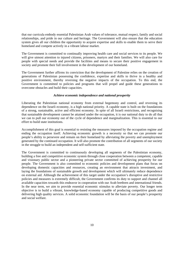that our curricula embody essential Palestinian Arab values of tolerance, mutual respect, family and social relationships, and pride in our culture and heritage. The Government will also ensure that the education system gives all our children the opportunity to acquire expertise and skills to enable them to serve their homeland and compete actively in a vibrant labour market.

The Government is committed to continually improving health care and social services to its people. We will give utmost attention to injured citizens, prisoners, martyrs and their families. We will also care for people with special needs and provide the facilities and means to secure their positive engagement in society and promote their full involvement in the development of our homeland.

The Government further affirms its conviction that the development of Palestine relies on the creation of generations of Palestinian possessing the confidence, expertise and skills to thrive in a healthy and positive environment, thereby reversing the negative impacts of the occupation. To this end, the Government is committed to policies and programs that will propel and guide these generations to overcome obstacles and build their capacities.

#### *Achieve economic independence and national prosperity*

Liberating the Palestinian national economy from external hegemony and control, and reversing its dependence on the Israeli economy, is a high national priority. A capable state is built on the foundations of a strong, sustainable, active and efficient economy. In spite of all Israeli restrictions, and recognising that sustainable development cannot be attained under the occupation, it is our national duty to do all that we can to pull our economy out of the cycle of dependence and marginalization. This is essential to our effort to build state institutions.

Accomplishment of this goal is essential to resisting the measures imposed by the occupation regime and ending the occupation itself. Achieving economic growth is a necessity so that we can promote our people's ability to persevere and remain on their homeland by alleviating the poverty and unemployment generated by the continued occupation. It will also promote the contribution of all segments of our society in the struggle to build an independent and self-sufficient state.

The Government is committed to continuously developing all segments of the Palestinian economy, building a free and competitive economic system through close cooperation between a competent, capable and visionary public sector and a pioneering private sector committed of achieving prosperity for our people. The Government is also committed to economic policies and development plans that focus on developing domestic capacities and resources, creating an environment that attracts investment, and laying the foundations of sustainable growth and development which will ultimately reduce dependence on external aid. Although the achievement of this target under the occupation's disruptive and restrictive policies and measures is extremely difficult, the Government confirms its duty to support and channel all available capacities towards this endeavor in cooperation with our Arab brethren and international friends. In the near term, we aim to provide essential economic stimulus to alleviate poverty. Our longer term objective is to build a vibrant, knowledge-based economy capable of producing competitive goods and delivering high quality services. A solid economic foundation will be the basis of our people's prosperity and social welfare.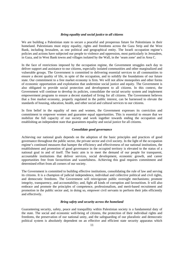#### *Bring equality and social justice to all citizens*

We are building a Palestinian state to secure a peaceful and prosperous future for Palestinians in their homeland. Palestinians must enjoy equality, rights and freedoms across the Gaza Strip and the West Bank, including Jerusalem, as one political and geographical entity. The Israeli occupation regime's policies and actions have subjected our people to violence and oppression, most particularly in Jerusalem, in Gaza, and in West Bank towns and villages isolated by the Wall, in the 'seam zone' and in Area C.

In the face of restrictions imposed by the occupation regime, the Government struggles each day to deliver support and assistance to our citizens, especially isolated communities and other marginalized and vulnerable groups. The Government is committed to delivering essential services to all communities to ensure a decent quality of life, in spite of the occupation, and to solidify the foundations of our future state. Our commitment to a free market economy is firm. We will not allow monopolies and other forms of economic opportunism and exploitation that undermine social justice and equity. The Government is also obligated to provide social protection and development to all citizens. In this context, the Government will continue to develop its policies, consolidate the social security system and implement empowerment programs to ensure a decent standard of living for all citizens. The Government believes that a free market economy, properly regulated in the public interest, can be harnessed to elevate the standards of housing, education, health, and other social and cultural services to our citizens.

In firm belief in the equality of men and women, the Government expresses its conviction and commitment to empower women and guarantee equal opportunities. This is essential to ensure that we mobilize the full capacity of our society and work together towards ending the occupation and establishing an independent state that guarantees equality and social justice for all citizens.

#### *Consolidate good governance*

Achieving our national goals depends on the adoption of the basic principles and practices of good governance throughout the public sector, the private sector and civil society. In the light of the occupation regime's continued measures that hamper the efficiency and effectiveness of our national institutions, the establishment and promotion of good governance in the occupied territory is elevated to the status of a national goal in and of itself. The basic aim is to meet the demand of our people for transparent, accountable institutions that deliver services, social development, economic growth, and career opportunities free from favouritism and wastefulness. Achieving this goal requires commitment and determined effort from all corners of our society.

The Government is committed to building effective institutions, consolidating the rule of law and serving its citizens. It is a champion of judicial independence, individual and collective political and civil rights, and democratic freedoms. The Government will reinvigorate public oversight mechanisms; promote integrity, transparency, and accountability; and, fight all kinds of corruption and favouritism. It will also embrace and promote the principles of competence, professionalism, and merit-based recruitment and promotion in the public sector and, in doing so, empower civil servants to perform their jobs efficiently and effectively.

#### *Bring safety and security across the homeland*

Guaranteeing security, safety, peace and tranquillity within Palestinian society is a fundamental duty of the state. The social and economic well-being of citizens, the protection of their individual rights and freedoms, the preservation of our national unity, and the safeguarding of our pluralistic and democratic political system is absolutely dependent on an effective and efficient state security apparatus which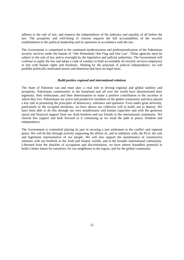adheres to the rule of law, and respects the independence of the judiciary and equality of all before the law. The prosperity and well-being of citizens requires the full accountability of the security establishment to the political leadership and its operation in accordance with the law.

The Government is committed to the continued modernization and professionalization of the Palestinian security services under the banner of 'One Homeland, One Flag and One Law'. These agencies must be subject to the rule of law and to oversight by the legislative and judicial authorities. The Government will continue to apply the law and adopt a code of conduct to hold accountable all security services employees in line with human rights and freedoms. Abiding by the principle of judicial independence, we will prohibit politically-motivated arrests and detention that have no legal basis.

#### *Build positive regional and international relations*

The State of Palestine can and must play a vital role in driving regional and global stability and prosperity. Palestinian communities in the homeland and all over the world have demonstrated their ingenuity, their enthusiasm, and their determination to make a positive contribution to the societies in which they live. Palestinians are active and productive members of the global community and have played a key role in promoting the principles of democracy, tolerance and openness. Even under great adversity, particularly in the occupied territories, we have shown our collective will to build, not to destroy. We have been able to do this through our own steadfastness and human capacities and with the generous moral and financial support from our Arab brethren and our friends in the international community. We cherish this support and look forward to it continuing as we tread the path to peace, freedom and independence.

The Government is committed playing its part in securing a just settlement to the conflict and regional peace. We will do this through actively supporting the efforts of, and in solidarity with, the PLO, the sole and legitimate representative of our people. We will also support the maintenance of constructive relations with our brethren in the Arab and Islamic worlds, and in the broader international community. Liberated from the shackles of occupation and discrimination, we have almost boundless potential to build a better future for ourselves, for our neighbours in the region, and for the global community.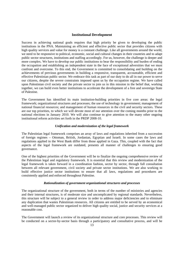# **Institutional Development**

Success in achieving national goals requires that high priority be given to developing the public institutions in the PNA. Maintaining an efficient and effective public sector that provides citizens with high quality services and value for money is a constant challenge. Like all governments around the world, we need to be responsive to political, economic, social and cultural changes in their countries and to adapt public sector structures, institutions and staffing accordingly. For us, however, the challenge is deeper and more complex. We have to develop our public institutions to bear the responsibility and burden of ending the occupation and establishing an independent state in the face of exceptional adversities that we must confront and overcome. To this end, the Government is committed to consolidating and building on the achievements of previous governments in building a responsive, transparent, accountable, efficient and effective Palestinian public sector. We embrace this task as part of our duty to do all in our power to serve our citizens, despite the severe constraints imposed upon us by the occupation regime. We have called upon Palestinian civil society and the private sector to join us in this mission in the belief that, working together, we can build even better institutions to accelerate the development of a free and sovereign State of Palestine.

The Government has identified its main institution-building priorities in five core areas: the legal framework; organizational structures and processes; the use of technology in government; management of national financial resources; and management of human resources in the civil and security sectors. These are our top priorities, to which we will devote most of our attention over the coming months prior to the national elections in January 2010. We will also continue to give attention to the many other ongoing institutional reform activities set forth in the PRDP 2008-10.

#### *Unification and modernization of the legal framework*

The Palestinian legal framework comprises an array of laws and regulations inherited from a succession of foreign regimes – Ottoman, British, Jordanian, Egyptian and Israeli. In some cases the laws and regulations applied in the West Bank differ from those applied in Gaza. This, coupled with the fact that aspects of the legal framework are outdated, presents all manner of challenges to ensuring good governance.

One of the highest priorities of the Government will be to finalize the ongoing comprehensive review of the Palestinian legal and regulatory framework. It is essential that this review and modernization of the legal framework is taken forward in a coordination fashion, sector by sector, through full consultation between all relevant government, civil society and private sector institutions. We are also working to build effective justice sector institutions to ensure that all laws, regulations and procedures are consistently applied and enforced throughout Palestine.

#### *Rationalization of government organizational structures and processes*

The organizational structure of the government, both in terms of the number of ministries and agencies and their internal structures, is of moderate size and uncomplicated by regional standards. Nevertheless, this structure will be subject to a general review in order to address major deficiencies and to eliminate any duplication that wastes Palestinian resources. All citizens are entitled to be served by an economical and well-managed public sector organized to deliver high quality social, justice and security services at a reasonable cost.

The Government will launch a review of its organizational structure and core processes. This review will be conducted on a sector-by-sector basis through a participatory and consultative process, and will be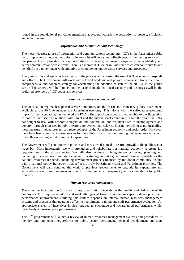rooted in the foundational principles mentioned above, particularly the separation of powers, efficiency and effectiveness.

#### *Information and communications technology*

The more widespread use of information and communications technology (ICT) in the Palestinian public sector represents a huge opportunity to increase its efficiency and effectiveness in delivering services to our people. It also provides many opportunities for greater government transparency, accountability and better communication with citizens. There is a vibrant ICT sector in Palestine which can contribute to and benefit from a government-wide initiative to computerize public sector services and processes.

Many ministries and agencies are already in the process of increasing the use of ICT in schools, hospitals and offices. The Government will work with relevant academic and private sector institutions to ensure a comprehensive and coherent strategy for accelerating the adoption of state-of-the-art ICT in the public sector. The strategy will be founded on the basic principle that local capacity and businesses will be the preferred providers of ICT goods and services.

#### *Financial resources management*

The occupation regime has placed severe limitations on the fiscal and monetary policy instruments available to the PNA to manage the Palestinian economy. This, along with the suffocating economic impact of the occupation, has rendered the PNA's fiscal position especially vulnerable to the fluctuation of political and security relations with Israel and the international community. Over the years the PNA has sought to deal with economic stagnation and contraction, and resultant rises in unemployment and poverty, through increases in public sector employment and salaries. During periods of acute instability, these measures helped prevent complete collapse of the Palestinian economy and social order. However, there have been significant consequences for the PNA's fiscal situation, limiting the resources available to fund other operating and development expenditure.

The Government will continue with policies and measures designed to restrict growth of the public sector wage bill. Most importantly, we will strengthen and rehabilitate our national economy to create job opportunities in the private sector. We will also continue to integrate policymaking, planning and budgeting processes as an important element of a strategy to make government more accountable for the national resources it spends, including development projects financed by the donor community, in line with a national policy framework that reflects a truly Palestinian vision and Palestinian priorities. The Government will also continue the work of previous governments to upgrade its expenditure and accounting systems and processes in order to further enhance transparency and accountability for public finances.

#### *Human resources management*

The effective functional performance of any organization depends on the quality and dedication of its employees. This requires a culture and work ethic geared towards continuous capacity development and performance improvement. Building this culture depends on internal human resources management systems and processes that guarantee effective recruitment, training and staff performance evaluation. An appropriate system of incentives is also required to encourage and reward good performance, whilst proactively addressing poor performance.

The 13<sup>th</sup> government will launch a review of human resources management systems and procedures to identify and implement key reforms to public sector recruitment, personal development and staff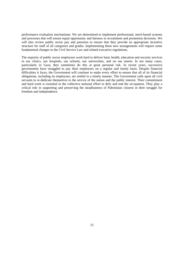performance evaluation mechanisms. We are determined to implement professional, merit-based systems and processes that will ensure equal opportunity and fairness in recruitment and promotion decisions. We will also review public sector pay and pensions to ensure that they provide an appropriate incentive structure for staff of all categories and grades. Implementing these new arrangements will require some fundamental changes to the Civil Service Law and related executive regulations.

The majority of public sector employees work hard to deliver basic health, education and security services in our clinics, our hospitals, our schools, our universities, and on our streets. In too many cases, particularly in Gaza, they sometimes do this at great personal risk. In recent years, successive governments have struggled to pay their employees on a regular and timely basis. Despite financial difficulties it faces, the Government will continue to make every effort to ensure that all of its financial obligations, including its employees, are settled in a timely manner. The Government calls upon all civil servants to re-dedicate themselves to the service of the nation and the public interest. Their commitment and hard work is essential to the collective national effort to defy and end the occupation. They play a critical role in supporting and preserving the steadfastness of Palestinian citizens in their struggle for freedom and independence.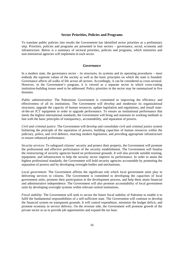#### **Sector Priorities, Policies and Programs**

To translate public policies into results the Government has identified sector priorities as a preliminary step. Priorities, policies and programs are presented in four sectors – governance, social, economy and infrastructure. Below is a summary of sectoral priorities, policies and programs, which ministries and non-ministerial agencies will implement in each sector.

#### *Governance*

In a modern state, the governance sector – its structures, its systems and its operating procedures – must embody the supreme values of the society as well as the basic principles on which the state is founded. Governance affects all walks of life across all sectors. Accordingly, it can be considered as cross-sectoral. However, in the Government's program, it is viewed as a separate sector in which cross-cutting institution-building issues need to be addressed. Policy priorities in the sector may be summarized in five domains.

*Public administration*: The Palestinian Government is committed to improving the efficiency and effectiveness of all its institutions. The Government will develop and modernize its organizational structures, upgrade the capacity of human resources, update legislation and regulations, and install stateof-the-art ICT equipment in order to upgrade performance. To ensure an institutional performance that meets the highest international standards, the Government will bring and maintain its working methods in line with the basic principles of transparency, accountability, and separation of powers.

*Civil and criminal justice*: The Government will develop and consolidate civil and criminal justice system bolstering the principle of the separation of powers, building capacities of human resources within the judiciary, police, and civil defence, enacting modern legislation, and providing appropriate infrastructure to ensure enhanced performance.

*Security services*: To safeguard citizens' security and protect their property, the Government will promote the professional and effective performance of the security establishment. The Government will finalise the restructuring of security agencies based on professional grounds. It will also provide suitable training, equipment, and infrastructure to help the security sector improve its performance. In order to attain the highest professional standards, the Government will hold security agencies accountable by promoting the separation of powers and by developing oversight bodies and mechanisms.

*Local government*: The Government affirms the significant role which local government units play in delivering services to citizens. The Government is committed to developing the capacities of local government units, promote their participation in the development process, and help them attain financial and administrative independence. The Government will also promote accountability of local government units by developing oversight systems within relevant central institutions.

*Fiscal stability*: The Government will seek to secure the future fiscal stability of Palestine to enable it to fulfil the fundamental responsibilities of a self-sufficient state. The Government will continue to develop the financial system on transparent grounds. It will control expenditure, minimize the budget deficit, and promote economy in service delivery. On the revenue side, the Government will promote growth of the private sector so as to provide job opportunities and expand the tax base.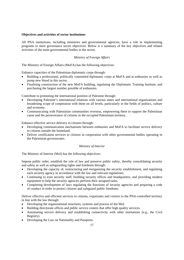### **Objectives and activities of sector institutions**

All PNA institutions, including ministries and governmental agencies, have a role in implementing programs to meet governance sector objectives. Below is a summary of the key objectives and related activities of the main governmental bodies in the sector.

# *Ministry of Foreign Affairs*

The Ministry of Foreign Affairs (MoFA) has the following objectives:

Enhance capacities of the Palestinian diplomatic corps through:

- Building a professional, politically committed diplomatic corps at MoFA and at embassies as well as pump new blood in this sector.
- Finalising construction of the new MoFA building, regulating the Diplomatic Training Institute, and purchasing the largest number possible of embassies.

Contribute to promoting the international position of Palestine through:

- Developing Palestine's international relations with various states and international organizations and broadening scope of cooperation with them on all levels, particularly in the fields of politics, culture and economy.
- Communicating with Palestinian communities overseas, empowering them to support the Palestinian cause and the perseverance of citizens in the occupied Palestinian territory.

Enhance effective service delivery to citizens through:

- Developing communication mechanisms between embassies and MoFA to facilitate service delivery to citizens outside the homeland.
- Deliver certification services to citizens in cooperation with other governmental bodies operating in the Palestinian governorates.

#### *Ministry of Interior*

The Ministry of Interior (MoI) has the following objectives:

Impose public order, establish the rule of law and preserve public safety, thereby consolidating security and safety as well as safeguarding rights and freedoms through:

- Developing the capacity of, restructuring and reorganising the security establishment, and regulating each security agency in accordance with the law and relevant regulations.
- Continuing to train security staff, building security offices and headquarters, and providing modern equipment to help the security agencies perform their assigned tasks.
- Completing development of laws regulating the functions of security agencies and preparing a code of conduct in order to protect citizens and safeguard public freedoms.

Deliver effective and efficient services to citizens, expatriates and visitors to the PNA-controlled territory in line with the law through:

- Developing the organizational structures, systems and process of the MoI.
- Building directorate offices and public service centers that offer high quality services.
- Automating service delivery and establishing connectivity with other institutions (e.g., the Civil Registry).
- Developing the Law on Nationality and Passports.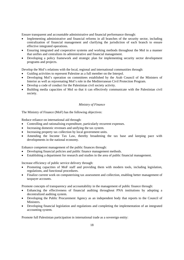Ensure transparent and accountable administrative and financial performance through:

- Implementing administrative and financial reforms in all branches of the security sector, including centralization of financial management and clarifying the jurisdiction of each branch to ensure effective integrated operations.
- Ensuring integrated and cooperative systems and working methods throughout the MoI in a manner that unifies and centralizes its administrative and financial management.
- Developing a policy framework and strategic plan for implementing security sector development programs and projects.

Develop the MoI's relations with the local, regional and international communities through:

- Guiding activities to represent Palestine as a full member on the Interpol.
- Developing MoI's operation on committees established by the Arab Council of the Ministers of Interior as well as rejuvenating MoI's role in the Mediterranean Civil Protection Program.
- Develop a code of conduct for the Palestinian civil society activity.
- Building media capacities of MoI so that it can effectively communicate with the Palestinian civil society.

# *Ministry of Finance*

The Ministry of Finance (MoF) has the following objectives:

Reduce reliance on international aid through:

- Controlling and rationalising expenditure, particularly recurrent expenses.
- Increasing domestic revenues and unifying the tax system.
- Increasing property tax collection by local government units.
- Amending the Income Tax Law, thereby broadening the tax base and keeping pace with developments in the national economy.

Enhance competent management of the public finances through:

- Developing financial policies and public finance management methods.
- Establishing a department for research and studies in the area of public financial management.

Increase efficiency of public service delivery through:

- Promoting capacities of MoF staff and providing them with modern tools, including legislation, regulations, and functional procedures.
- Finalize current work on computerising tax assessment and collection, enabling better management of taxpayer accounts.

Promote concepts of transparency and accountability in the management of public finance through:

- Enhancing the effectiveness of financial auditing throughout PNA institutions by adopting a decentralized auditing system.
- Developing the Public Procurement Agency as an independent body that reports to the Council of Ministers.
- Developing financial legislation and regulations and completing the implementation of an integrated accounting system.

Promote full Palestinian participation in international trade as a sovereign entity: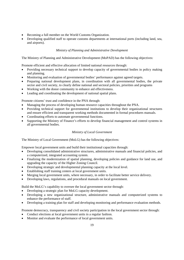- Becoming a full member on the World Customs Organization.
- Developing qualified staff to operate customs departments at international ports (including land, sea, and airports).

# *Ministry of Planning and Administrative Development*

The Ministry of Planning and Administrative Development (MoPAD) has the following objectives:

Promote efficient and effective allocation of limited national resources through:

- Providing necessary technical support to develop capacity of governmental bodies in policy making and planning.
- Monitoring and evaluation of governmental bodies' performance against agreed targets.
- Preparing national development plans, in coordination with all governmental bodies, the private sector and civil society, to clearly define national and sectoral policies, priorities and programs
- Working with the donor community to enhance aid effectiveness.
- Leading and coordinating the development of national spatial plans.

Promote citizens' trust and confidence in the PNA through:

- Managing the process of developing human resource capacities throughout the PNA.
- Providing technical support for governmental institutions to develop their organizational structures and ensure efficient and transparent working methods documented in formal procedures manuals.
- Coordinating efforts to automate governmental functions.
- Supporting the Ministry of Finance's efforts to develop financial management and control systems in all governmental bodies.

# *Ministry of Local Government*

The Ministry of Local Government (MoLG) has the following objectives:

Empower local government units and build their institutional capacities through:

- Developing consolidated administrative structures, administrative manuals and financial policies, and a computerized, integrated accounting system.
- Finalizing the modernization of spatial planning, developing policies and guidance for land use, and upgrading the capacity of the Higher Zoning Council.
- Developing strategic and developmental planning capacity at the local level.
- Establishing staff training centers at local government units.
- Merging local government units, where necessary, in order to facilitate better service delivery.
- Developing laws, regulations, and procedural manuals on local government.

Build the MoLG's capability to oversee the local government sector through:

- Developing a strategic plan for MoLG capacity development.
- Developing a new organizational structure, administrative manuals and computerized systems to enhance the performance of staff.
- Developing a training plan for staff and developing monitoring and performance evaluation methods.

Promote democracy, transparency and civil society participation in the local government sector through:

- Conduct elections at local government units in a regular fashion.
- Monitor and evaluate the performance of local government units.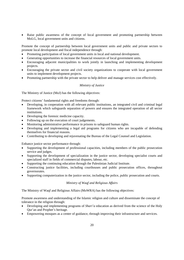• Raise public awareness of the concept of local government and promoting partnership between MoLG, local government units and citizens.

Promote the concept of partnership between local government units and public and private sectors to promote local development and fiscal independence through:

- Promoting participation of local government units in local and national development.
- Generating opportunities to increase the financial resources of local government units.
- Encouraging adjacent municipalities to work jointly in launching and implementing development projects.
- Encouraging the private sector and civil society organizations to cooperate with local government units to implement development projects.
- Promoting partnership with the private sector to help deliver and manage services cost effectively.

# *Ministry of Justice*

The Ministry of Justice (MoJ) has the following objectives:

Protect citizens' fundamental rights and freedoms through:

- Developing, in cooperation with all relevant public institutions, an integrated civil and criminal legal framework which safeguards separation of powers and ensures the integrated operation of all sector institutions.
- Developing the forensic medicine capacity.
- Following up on the execution of court judgements.
- Monitoring administrative performance in prisons to safeguard human rights.
- Developing and implementing a legal aid programs for citizens who are incapable of defending themselves for financial reasons.
- Contributing to developing and rejuvenating the Bureau of the Legal Counsel and Legislation.

Enhance justice sector performance through:

- Supporting the development of professional capacities, including members of the public prosecution service and judges.
- Supporting the development of specialization in the justice sector, developing specialist courts and specialized staff in fields of commercial disputes, labour, etc.
- Supporting the continuing education through the Palestinian Judicial Institute.
- Constructing justice facilities, including courthouses and public prosecution offices, throughout governorates.
- Supporting computerization in the justice sector, including the police, public prosecution and courts.

#### *Ministry of Waqf and Religious Affairs*

The Ministry of Waqf and Religious Affairs (MoWRA) has the following objectives:

Promote awareness and understanding of the Islamic religion and culture and disseminate the concept of tolerance in the religion through:

- Developing and implementing programs of *Shari'a* education as derived from the science of the Holy Qur'an and Prophet's heritage.
- Empowering mosques as a center of guidance, through improving their infrastructure and services.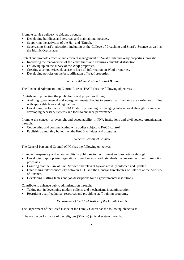Promote service delivery to citizens through:

- Developing buildings and services, and maintaining mosques.
- Supporting the activities of the Hajj and 'Umrah.
- Supervising Shari'a education, including at the College of Preaching and Shari'a Science as well as the Islamic Orphanage.

Protect and promote effective and efficient management of Zakat funds and Waqf properties through:

- Improving the management of the Zakat funds and ensuring equitable distribution.
- Following up on the survey of the Waqf properties.
- Creating a computerized database to keep all information on Waqf properties.
- Developing policies on the best utilization of Waqf properties.

#### *Financial Administration Control Bureau*

The Financial Administration Control Bureau (FACB) has the following objectives:

Contribute to protecting the public funds and properties through:

- Auditing governmental and non-governmental bodies to ensure that functions are carried out in line with applicable laws and regulations.
- Developing performance of FACB staff by training, exchanging international through training and developing necessary systems and tools to enhance performance.

Promote the concept of oversight and accountability in PNA institutions and civil society organizations through:

- Cooperating and communicating with bodies subject to FACB control.
- Publishing a monthly bulletin on the FACB activities and programs.

#### *General Personnel Council*

The General Personnel Council (GPC) has the following objectives:

Promote transparency and accountability in public sector recruitment and promotions through:

- Developing appropriate regulations, mechanisms and standards in recruitment and promotion processes.
- Ensuring that the Law of Civil Service and relevant bylaws are duly enforced and updated.
- Establishing interconnectivity between GPC and the General Directorates of Salaries at the Ministry of Finance.
- Developing staffing tables and job descriptions for all governmental institutions.

Contribute to enhance public administration through:

- Taking part in developing modern policies and mechanisms in administration.
- Recruiting qualified human resources and providing staff training programs.

# *Department of the Chief Justice of the Family Courts*

The Department of the Chief Justice of the Family Courts has the following objectives:

Enhance the performance of the religious (*Shari'a*) judicial system through: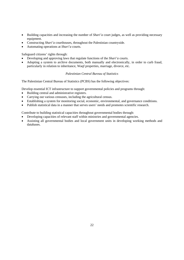- Building capacities and increasing the number of *Shari'a* court judges, as well as providing necessary equipment.
- Constructing *Shari'a* courthouses, throughout the Palestinian countryside.
- Automating operations at *Shari'a* courts.

Safeguard citizens' rights through:

- Developing and approving laws that regulate functions of the *Shari'a* courts.
- Adopting a system to archive documents, both manually and electronically, in order to curb fraud, particularly in relation to inheritance, Waqf properties, marriage, divorce, etc.

# *Palestinian Central Bureau of Statistics*

The Palestinian Central Bureau of Statistics (PCBS) has the following objectives:

Develop essential ICT infrastructure to support governmental policies and programs through:

- Building central and administrative registers.
- Carrying out various censuses, including the agricultural census.
- Establishing a system for monitoring social, economic, environmental, and governance conditions.
- Publish statistical data in a manner that serves users' needs and promotes scientific research.

Contribute to building statistical capacities throughout governmental bodies through:

- Developing capacities of relevant staff within ministries and governmental agencies.
- Assisting all governmental bodies and local government units in developing working methods and databases.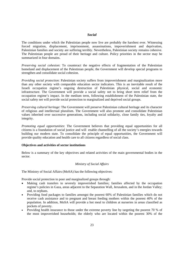#### *Social*

The conditions under which the Palestinian people now live are probably the harshest ever. Witnessing forced migration, displacement, imprisonment, assassinations, impoverishment and deprivation, Palestinian families and society are suffering terribly. Nevertheless, Palestinian society remains cohesive. The Palestinian people are proud of their heritage and culture. Policy priorities in the sector may be summarized in four domains.

*Preserving social cohesion*: To counteract the negative effects of fragmentation of the Palestinian homeland and displacement of the Palestinian people, the Government will develop special programs to strengthen and consolidate social cohesion.

*Providing social protection*: Palestinian society suffers from impoverishment and marginalization more than any other society with comparable education sector indicators. This is an inevitable result of the Israeli occupation regime's ongoing destruction of Palestinian physical, social and economic infrastructure. The Government will provide a social safety net to bring short term relief from the occupation regime's impact. In the medium term, following establishment of the Palestinian state, the social safety net will provide social protection to marginalized and deprived social groups.

*Preserving cultural heritage*: The Government will preserve Palestinian cultural heritage and its character of religious and intellectual pluralism. The Government will also promote and consolidate Palestinian values inherited over successive generations, including social solidarity, close family ties, loyalty and integrity.

*Promoting equal opportunities*: The Government believes that providing equal opportunities for all citizens is a foundation of social justice and will enable channelling of all the society's energies towards building our modern state. To consolidate the principle of equal opportunities, the Government will provide quality education and health care to all citizens regardless of social class.

#### **Objectives and activities of sector institutions**

Below is a summary of the key objectives and related activities of the main governmental bodies in the sector.

# *Ministry of Social Affairs*

The Ministry of Social Affairs (MoSA) has the following objectives:

Provide social protection to poor and marginalized groups through:

- Making cash transfers to severely impoverished families; families affected by the occupation regime's policies in Gaza, areas adjacent to the Separation Wall, Jerusalem, and in the Jordan Valley; and, to orphans.
- Providing food packages to families amongst the poorest 60% of Palestinian families which do not receive cash assistance and to pregnant and breast feeding mothers within the poorest 40% of the population. In addition, MoSA will provide a hot meal to children at nurseries in areas classified as pockets of poverty.
- Providing health insurance to those under the extreme poverty line by targeting the poorest 70 % of the most impoverished households; the elderly who are located within the poorest 30% of the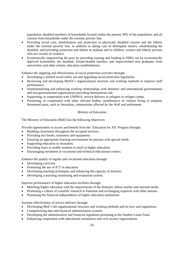population; disabled members of households located within the poorest 30% of the population; and all citizens from households under the extreme poverty line.

- Providing social care, rehabilitation and protection to physically disabled citizens and the elderly under the extreme poverty line, in addition to taking care of delinquent minors, rehabilitating the disabled, and providing protection and shelter to orphans and to children, women and elderly persons who are victims of violence.
- Economically empowering the poor by providing training and funding to SMEs run by economically deprived households, the disabled, female-headed families, and impoverished new graduates from universities and other tertiary education establishments.

Enhance the targeting and effectiveness of social protection activities through:

- Developing a unified social safety net and upgrading social protection legislation.
- Reviewing and developing MoSA's organizational structure and working methods to improve staff performance.
- Institutionalising and enhancing working relationships with domestic and international governmental and non-governmental organizations providing humanitarian aid.
- Supporting, in cooperation with UNRWA, service delivery to refugees in refugee camps.
- Promoting, in cooperation with other relevant bodies, steadfastness of citizens living in uniquely threatened areas, such as Jerusalem, communities affected by the Wall and settlements.

# *Ministry of Education*

The Ministry of Education (MoE) has the following objectives:

Provide opportunities to access and benefit from the 'Education for All' Program through:

- Building classrooms throughout the occupied territory.
- Providing text books, stationery and equipment.
- Ensuring an appropriate learning environment for persons with special needs.
- Supporting education in Jerusalem.
- Providing loans to enable students to enrol in higher education.
- Encouraging enrolment at vocational and technical educational centers.

Enhance the quality of regular and vocational education through:

- Developing curricula.
- Promoting the use of ICT in education.
- Developing teaching techniques and enhancing the capacity of teachers.
- Developing a teaching monitoring and evaluation system.

Improve performance of higher education facilities through:

- Matching higher education with the requirements of the domestic labour market and national needs.
- Promoting a culture of scientific research in Palestine and exchanging expertise with other nations.
- Promoting the financial independence of higher education institutions.

Increase effectiveness of service delivery through:

- Developing MoE's the organizational structure and working methods and its laws and regulations.
- Computerising data and financial administration systems.
- Developing the administrative and financial regulation pertaining to the Student Loans Fund.
- Enhancing cooperation with educational institutions and civil society organizations.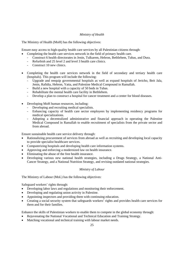# *Ministry of Health*

The Ministry of Health (MoH) has the following objectives:

Ensure easy access to high-quality health care services by all Palestinian citizens through:

- Completing the health care services network in the field of primary health care.
	- Construct 6 health directorates in Jenin, Tulkarem, Hebron, Bethlehem, Tubas, and Dura.
	- Refurbish and 25 level 2 and level 3 health care clinics.
	- Construct 10 new clinics.
- Completing the health care services network in the field of secondary and tertiary health care (hospitals). This program will include the following:
	- Upgrade and reequip governmental hospitals as well as expand hospitals of Jericho, Beit Jala, Jenin, Rafidia, Hebron, Yatta, and Palestine Medical Compound in Ramallah.
	- Build a new hospital with a capacity of 50 beds in Tubas.
	- Rehabilitate the mental health care facility in Bethlehem.
	- Develop a plan to construct a hospital for cancer treatment and a center for blood diseases.
- Developing MoH human resources, including:
	- Developing and recruiting medical specialists.
	- Enhancing capacity of health care sector employees by implementing residency programs for medical specializations.
	- Adopting a decentralized administrative and financial approach in operating the Palestine Medical Compound in Ramallah to enable recruitment of specialists from the private sector and from abroad.

Ensure sustainable health care service delivery through:

- Rationalizing procurement of services from abroad as well as recruiting and developing local capacity to provide specialist healthcare services.
- Computerizing hospitals and developing health care information systems.
- Approving and enforcing a modernized law on health insurance.
- Eliminating the abuse of the free health insurance.
- Developing various new national health strategies, including a Drugs Strategy, a National Anti-Cancer Strategy, and a National Nutrition Strategy, and revising outdated national strategies.

# *Ministry of Labour*

The Ministry of Labour (MoL) has the following objectives:

Safeguard workers' rights through:

- Developing labor laws and regulations and monitoring their enforcement.
- Developing and regulating union activity in Palestine.
- Appointing inspectors and providing them with continuing education.
- Creating a social security system that safeguards workers' rights and provides health care services for them and for their families.

Enhance the skills of Palestinian workers to enable them to compete in the global economy through:

- Rejuvenating the National Vocational and Technical Education and Training Strategy.
- Matching vocational and technical training with labour market needs.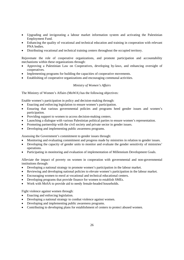- Upgrading and invigorating a labour market information system and activating the Palestinian Employment Fund.
- Enhancing the quality of vocational and technical education and training in cooperation with relevant PNA bodies.
- Distributing vocational and technical training centers throughout the occupied territory.

Rejuvenate the role of cooperative organizations, and promote participation and accountability mechanisms within these organizations through:

- Approving a Palestinian Law on Cooperatives, developing by-laws, and enhancing oversight of cooperatives.
- Implementing programs for building the capacities of cooperative movements.
- Establishing of cooperative organizations and encouraging communal activities.

#### *Ministry of Women's Affairs*

The Ministry of Women's Affairs (MoWA) has the following objectives:

Enable women's participation in policy and decision-making through:

- Enacting and enforcing legislation to ensure women's participation.
- Ensuring that various governmental policies and programs heed gender issues and women's participation.
- Providing support to women to access decision-making centers.
- Launching a dialogue with various Palestinian political parties to ensure women's representation.
- Promoting partnership with the civil society and private sector in gender issues.
- Developing and implementing public awareness programs.

Assessing the Government's commitment to gender issues through:

- Monitoring and evaluating commitment and progress made by ministries in relation to gender issues.
- Developing the capacity of gender units to monitor and evaluate the gender sensitivity of ministries' operations.
- Participating in monitoring and evaluation of implementation of Millennium Development Goals.

Alleviate the impact of poverty on women in cooperation with governmental and non-governmental institutions through:

- Developing a national strategy to promote women's participation in the labour market.
- Reviewing and developing national policies to elevate women's participation in the labour market.
- Encouraging women to enrol at vocational and technical educational centers.
- Developing programs that provide finance for women to establish SMEs.
- Work with MoSA to provide aid to needy female-headed households.

Fight violence against women through:

- Enacting and enforcing legislation.
- Developing a national strategy to combat violence against women.
- Developing and implementing public awareness programs.
- Contributing to developing plans for establishment of centers to protect abused women.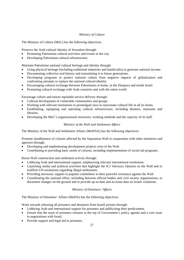# *Ministry of Culture*

The Ministry of Culture (MoC) has the following objectives:

Preserve the Arab cultural identity of Jerusalem through:

- Promoting Palestinian cultural activities and events in the city.
- Developing Palestinian cultural infrastructure.

Maintain Palestinian national cultural heritage and identity through:

- Using physical heritage (including traditional industries and handicrafts) to generate national income.
- Documenting collective oral history and transmitting it to future generations.
- Developing programs to protect national culture from negative impacts of globalization and confronting attempts to replace the national cultural identity.
- Encouraging cultural exchange between Palestinians at home, in the Diaspora and inside Israel.
- Promoting cultural exchange with Arab countries and with the entire world.

Encourage culture and ensure equitable service delivery through:

- Cultural development of vulnerable communities and groups.
- Working with relevant institutions to promulgate laws to rejuvenate cultural life in all its forms.
- Establishing, equipping and operating cultural infrastructure, including theatres, museums and libraries.
- Developing the MoC's organizational structures, working methods and the capacity of its staff.

# *Ministry of the Wall and Settlement Affairs*

The Ministry of the Wall and Settlement Affairs (MoWSA) has the following objectives:

Promote steadfastness of citizens affected by the Separation Wall in cooperation with other ministries and agencies through:

- Developing and implementing development projects west of the Wall.
- Contributing to providing basic needs of citizens, including implementation of social aid programs.

Resist Wall construction and settlement activity through:

- Lobbying Arab and international support, emphasising relevant international resolutions.
- Launching media and political activities that highlight the ICJ Advisory Opinion on the Wall and to reaffirm UN resolutions regarding illegal settlements.
- Providing necessary support to popular committees in their peaceful resistance against the Wall.
- Coordinating the national effort, including between official bodies and civil society organizations, to document changes on the ground and to provide up-to-date and accurate data on Israeli violations.

# *Ministry of Detainees' Affairs*

The Ministry of Detainees' Affairs (MoDA) has the following objectives:

Work towards releasing all prisoners and detainees from Israeli prisons through:

- Lobbying Arab and international support for prisoners and publicizing their predicament.
- Ensure that the issue of prisoners remains at the top of Government's policy agenda and a core issue in negotiations with Israel.
- Provide support and legal aid to prisoners.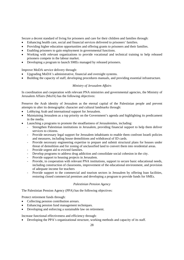Secure a decent standard of living for prisoners and care for their children and families through:

- Enhancing health care, social and financial services delivered to prisoners' families.
- Providing higher education opportunities and offering grants to prisoners and their families.
- Enabling prisoners to gain employment in governmental functions.
- Working with relevant organizations to provide vocational and technical training to help released prisoners compete in the labour market.
- Developing a program to launch SMEs managed by released prisoners.

Improve MoDA service delivery through:

- Upgrading MoDA's administrative, financial and oversight systems.
- Building the capacity of staff, developing procedures manuals, and providing essential infrastructure.

# *Ministry of Jerusalem Affairs*

In coordination and cooperation with relevant PNA ministries and governmental agencies, the Ministry of Jerusalem Affairs (MoJA) has the following objectives:

Preserve the Arab identity of Jerusalem as the eternal capital of the Palestinian people and prevent attempts to alter its demographic character and cultural landmarks through:

- Lobbying Arab and international support for Jerusalem.
- Maintaining Jerusalem as a top priority on the Government's agenda and highlighting its predicament in the media.
- Launching a programs to promote the steadfastness of Jerusalemites, including:
	- Strengthen Palestinian institutions in Jerusalem, providing financial support to help them deliver services to citizens.
	- Provide necessary legal support for Jerusalem inhabitants to enable them confront Israeli policies and measures, including house demolitions and withdrawal of ID cards.
	- Provide necessary engineering expertise to prepare and submit structural plans for houses under threat of demolition and for zoning of unclassified land to convert them into residential areas.
	- Provide urgent aid to evicted families.
	- Develop programs to address drug addiction and consolidate social cohesion in the city.
	- Provide support to housing projects in Jerusalem.
	- Provide, in cooperation with relevant PNA institutions, support to secure basic educational needs, including construction of classrooms, improvement of the educational environment, and provision of adequate income for teachers
	- Provide support to the commercial and tourism sectors in Jerusalem by offering loan facilities, restoring closed commercial premises and developing a program to provide funds for SMEs.

# *Palestinian Pension Agency*

The Palestinian Pension Agency (PPA) has the following objectives:

Protect retirement funds through:

- Collecting pension contribution arrears.
- Enhancing pension fund management techniques.
- Developing and enforcing a sustainable law on retirement.

Increase functional effectiveness and efficiency through:

Developing the PPA's organizational structure, working methods and capacity of its staff.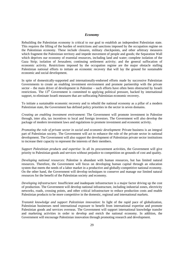#### *Economy*

Rebuilding the Palestinian economy is critical to our goal to establish an independent Palestinian state. This requires the lifting of the burden of restrictions and sanctions imposed by the occupation regime on the Palestinian economy. These include closures, military checkpoints, and other arbitrary measures which fragment the Palestinian territory and impede movement of people and goods; the Separation Wall which deprives our economy of essential resources, including land and water; complete isolation of the Gaza Strip; isolation of Jerusalem; continuing settlement activity; and the general suffocation of economic activity. Restrictions imposed by the occupation regime are the major obstacle stalling Palestinian national efforts to initiate an economic recovery that will lay the ground for sustainable economic and social development.

In spite of domestically-supported and internationally-endorsed efforts made by successive Palestinian Governments to create an enabling investment environment and promote partnership with the private sector – the main driver of development in Palestine – such efforts have often been obstructed by Israeli restrictions. The 13<sup>th</sup> Government is committed to applying political pressure, backed by international support, to eliminate Israeli measures that are suffocating Palestinian economic recovery.

To initiate a sustainable economic recovery and to rebuild the national economy as a pillar of a modern Palestinian state, the Government has defined policy priorities in the sector in seven domains.

*Creating an enabling investment environment*: The Government will promote investment in Palestine through, inter alia, tax incentives to local and foreign investors. The Government will also develop the package of modern investment laws and regulations to promote investment and economic activity.

*Promoting the role of private sector in social and economic development*: Private business is an integral part of Palestinian society. The Government will act to enhance the role of the private sector in national development. The Government will also support the development of Palestinian private sector institutions to increase their capacity to represent the interests of their members.

*Support Palestinian products and expertise*: In all its procurement activities, the Government will give priority to Palestinian goods and services without prejudice to competition on grounds of cost and quality.

*Developing national resources*: Palestine is abundant with human resources, but has limited natural resources. Therefore, the Government will focus on developing human capital through an education system that meets the needs of a labor market in a productive and globally-competitive national economy. On the other hand, the Government will develop techniques to conserve and manage our limited natural resources for the benefit of the Palestinian society and economy.

*Developing infrastructure*: Insufficient and inadequate infrastructure is a major factor driving up the cost of production. The Government will develop national infrastructure, including industrial zones, electricity networks, roads, crossing points, and other critical infrastructure to reduce production costs and enable Palestinian products to be more competitive in the domestic, regional and international markets.

*Transmit knowledge and support Palestinian innovation*: In light of the rapid pace of globalization, Palestinian businesses need international exposure to benefit from international expertise and promote Palestinian goods and services overseas. The Government will support international knowledge transfer and marketing activities in order to develop and enrich the national economy. In addition, the Government will encourage Palestinian innovation through promoting research and development.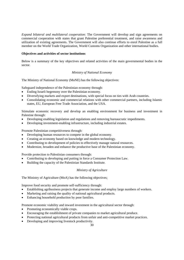*Expand bilateral and multilateral cooperation*: The Government will develop and sign agreements on commercial cooperation with states that grant Palestine preferential treatment, and raise awareness and utilization of existing agreements. The Government will also continue efforts to enrol Palestine as a full member on the World Trade Organization, World Customs Organization and other international bodies.

# **Objectives and activities of sector institutions**

Below is a summary of the key objectives and related activities of the main governmental bodies in the sector.

# *Ministry of National Economy*

The Ministry of National Economy (MoNE) has the following objectives:

Safeguard independence of the Palestinian economy through:

- Ending Israeli hegemony over the Palestinian economy.
- Diversifying markets and export destinations, with special focus on ties with Arab countries.
- Consolidating economic and commercial relations with other commercial partners, including Islamic states, EU, European Free Trade Association, and the USA.

Stimulate economic recovery and develop an enabling environment for business and investment in Palestine through:

- Developing enabling legislation and regulations and removing bureaucratic impediments.
- Developing investment-enabling infrastructure, including industrial estates.

Promote Palestinian competitiveness through:

- Developing human resources to compete in the global economy.
- Creating an economy based on knowledge and modern technology.
- Contributing to development of policies to effectively manage natural resources.
- Modernize, broaden and enhance the productive base of the Palestinian economy.

Provide protection to Palestinian consumers through:

- Contributing to developing and putting in force a Consumer Protection Law.
- Building the capacity of the Palestinian Standards Institute.

# *Ministry of Agriculture*

The Ministry of Agriculture (MoA) has the following objectives;

Improve food security and promote self-sufficiency through:

- Establishing agribusiness projects that generate income and employ large numbers of workers.
- Marketing and raising the quality of national agricultural products.
- Enhancing household production by poor families.

Promote economic viability and inward investment in the agricultural sector through:

- Promoting economically viable crops.
- Encouraging the establishment of private companies to market agricultural produce.
- Protecting national agricultural products from unfair and anti-competitive market practices.
- Developing and improving livestock productivity.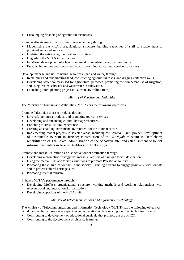Encouraging financing of agricultural businesses.

Promote effectiveness of agricultural service delivery through:

- Modernizing the MoA's organizational structure, building capacities of staff to enable them to provided enhanced services.
- Updating the national agricultural sector strategy.
- Upgrading the MoA's infrastructure.
- Finalizing development of a legal framework to regulate the agricultural sector.
- Establishing unions and specialized boards providing agricultural services to farmers.

Develop, manage and utilize natural resources (land and water) through:

- Reclaiming and rehabilitating land, constructing agricultural roads, and digging collection wells.
- Developing water sources used for agricultural purposes, promoting the competent use of irrigation, and using treated saltwater and wastewater in cultivation.
- Launching a tree-planting project in Palestine (5 million trees).

# *Ministry of Tourism and Antiquities*

The Ministry of Tourism and Antiquities (MoTA) has the following objectives:

Promote Palestinian tourism products through:

- Diversifying tourist products and promoting tourism services.
- Developing and enhancing cultural heritage resources.
- Enriching tourists' cultural experience.
- Creating an enabling investment environment for the tourism sector.
- Implementing model projects in selected areas, including the *Jericho 10,000* project; development of sustainable tourism in Jericho; construction of the *Riwayah* museum in Bethlehem; rehabilitation of Tal Balata; administration of the Sabastiya site; and establishment of tourist information centers in Jericho, Nablus and Al 'Eizariya.

Promote and market Palestine as a distinctive tourist destination through:

- Developing a promotion strategy that markets Palestine as a unique tourist destination.
- Using the media, ICT, and tourist exhibitions to promote Palestinian tourism.
- Promoting the culture of tourism in the society guiding citizens to engage positively with tourists and to protect cultural heritage sites.
- Promoting internal tourism.

Enhance MoTA's performance through:

- Developing MoTA's organizational structure, working methods and working relationships with relevant local and international organizations.
- Developing capacities of the MoTA staff.

# *Ministry of Telecommunications and Information Technology*

The Ministry of Telecommunications and Information Technology (MoTIT) has the following objectives: Build national human resources capacities in cooperation with relevant governmental bodies through:

- Contributing to development of educational curricula that promote the use of ICT.
- Contributing to the development of distance learning.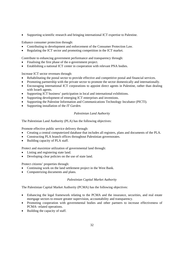Supporting scientific research and bringing international ICT expertise to Palestine.

Enhance consumer protection through:

- Contributing to development and enforcement of the Consumer Protection Law.
- Regulating the ICT sector and promoting competition in the ICT market.

Contribute to enhancing government performance and transparency through:

- Finalising the first phase of the e-government project.
- Establishing a national ICT center in cooperation with relevant PNA bodies.

Increase ICT sector revenues through:

- Rehabilitating the postal sector to provide effective and competitive postal and financial services.
- Promoting partnership with the private sector to promote the sector domestically and internationally.
- Encouraging international ICT corporations to appoint direct agents in Palestine, rather than dealing with Israeli agents.
- Supporting ICT business' participation in local and international exhibitions.
- Supporting development of emerging ICT enterprises and inventions.
- Supporting the Palestine Information and Communications Technology Incubator (PICTI).
- Supporting installation of the *IT Garden*.

# *Palestinian Land Authority*

The Palestinian Land Authority (PLA) has the following objectives:

Promote effective public service delivery through:

- Creating a central computerized database that includes all registers, plans and documents of the PLA.
- Constructing PLA branch offices throughout Palestinian governorates.
- Building capacity of PLA staff.

Protect and maximize utilization of governmental land through:

- Listing and registering state land.
- Developing clear policies on the use of state land.

Protect citizens' properties through:

- Continuing work on the land settlement project in the West Bank.
- Computerizing documents and plans.

# *Palestinian Capital Market Authority*

The Palestinian Capital Market Authority (PCMA) has the following objectives:

- Enhancing the legal framework relating to the PCMA and the insurance, securities, and real estate mortgage sectors to ensure greater supervision, accountability and transparency.
- Promoting cooperation with governmental bodies and other partners to increase effectiveness of PCMA- related operations.
- Building the capacity of staff.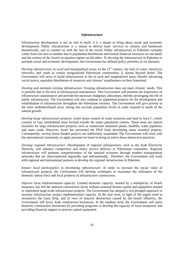#### *Infrastructure*

Infrastructure development is not an end in itself; it is a means to bring about social and economic development. Public infrastructure is a means to deliver basic services to citizens and businesses domestically, and to connect us with the rest of the world. Public infrastructure in Palestine currently varies from one area to another due to population distribution and limited financial resources on one hand, and the actions of the Israeli occupation regime on the other. To develop the infrastructure in Palestine to promote social and economic development, the Government has defined policy priorities in six domains.

*Develop infrastructure in rural and marginalized areas*: In the 21<sup>st</sup> century, the lack of water, electricity networks, and roads in certain marginalized Palestinian communities is almost beyond belief. The Government will strive to build infrastructure in the in rural and marginalized areas, thereby advancing social justice, equitable distribution of resources and citizens' steadfastness on their homeland.

*Develop and maintain existing infrastructure*: Existing infrastructure does not meet citizens' needs. This is partially due to the lack of infrastructure maintenance. The Government will promote the importance of infrastructure maintenance and provide the necessary budgetary allocations, thereby prolonging the life of public infrastructure. The Government will also continue to implement projects for the development and rehabilitation of infrastructure throughout the Palestinian territory. The Government will give priority to the most underdeveloped areas, taking into account population levels in order respond to needs of the natural growth.

*Develop large infrastructure projects*: Israel seizes control of water resources and land in Area C, which consists of vast, uninhabited areas located outside the major population centers. These areas are natural locations for large infrastructure projects, such as wastewater treatment plants, landfills, water pipelines, and main roads. However, Israel has prevented the PNA from developing many essential projects. Consequently, several donor-funded projects are indefinitely suspended. The Government will work with the international community to apply pressure on Israel to bring an end to these obstructive practices.

*Develop regional infrastructure*: Development of regional infrastructure, such as the Arab Electricity Network, will enhance competition and hence service delivery to Palestinian consumers. Regional infrastructure will promote competitiveness of the national economy through modern transportation networks that are interconnected regionally and internationally. Therefore, the Government will work with regional and international partners to develop the regional infrastructure in Palestine.

*Ensure local participation in developing infrastructure*: In order to increase the social value of infrastructure projects, the Government will develop techniques to maximize the utilization of the domestic labour force and local products in infrastructure construction.

*Improve local implementation capacity*: Limited domestic capacity, stunted by a multiplicity of Israeli measures, has left the national construction sector without essential human capital and equipment needed to implement large-scale infrastructure projects. The Government has adopted a two-pronged approach to increase infrastructure project implementation capacity. In the near term, in light of the urgent need to reconstruct the Gaza Strip, and in view of massive destruction caused by the Israeli offensive, the Government will favor Arab construction businesses. In the medium term, the Government will assist domestic construction businesses by providing programs to develop the capacity of local manpower and providing financial support to procure capital equipment.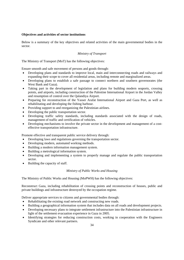### **Objectives and activities of sector institutions**

Below is a summary of the key objectives and related activities of the main governmental bodies in the sector.

# *Ministry of Transport*

The Ministry of Transport (MoT) has the following objectives:

Ensure smooth and safe movement of persons and goods through:

- Developing plans and standards to improve local, main and interconnecting roads and railways and expanding their scope to cover all residential areas, including remote and marginalized areas.
- Developing plans to establish a safe passage to connect northern and southern governorates (the West Bank and Gaza).
- Taking part in the development of legislation and plans for building modern seaports, crossing points, and airports, including construction of the Palestine International Airport in the Jordan Valley and resumption of control over the Qalandiya Airport.
- Preparing for reconstruction of the Yasser Arafat International Airport and Gaza Port, as well as rehabilitating and developing the fishing harbour.
- Providing support to and reorganizing the Palestinian airlines.
- Developing the public transportation sector.
- Developing traffic safety standards, including standards associated with the design of roads, management of traffic and certification of vehicles.
- Developing mechanisms to involve the private sector in the development and management of a costeffective transportation infrastructure.

Promote effective and transparent public service delivery through:

- Developing laws and regulations governing the transportation sector.
- Developing modern, automated working methods.
- Building a modern information management system.
- Building a metrological information system.
- Developing and implementing a system to properly manage and regulate the public transportation sector.
- Building the capacity of staff.

## *Ministry of Public Works and Housing*

The Ministry of Public Works and Housing (MoPWH) has the following objectives:

Reconstruct Gaza, including rehabilitation of crossing points and reconstruction of houses, public and private buildings and infrastructure destroyed by the occupation regime.

Deliver appropriate services to citizens and governmental bodies through:

- Rehabilitating the existing road network and constructing new roads.
- Building a geographical information system that includes data on all roads and development projects.
- Developing necessary plans to integrate settlement infrastructure into the Palestinian infrastructure in light of the settlement evacuation experience in Gaza in 2005.
- Identifying strategies for reducing construction costs, working in cooperation with the Engineers Syndicate and other relevant partners.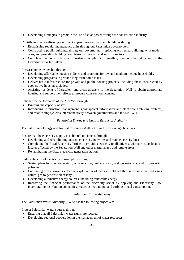Developing strategies to promote the use of solar power through the construction industry.

Contribute to rationalising government expenditure on roads and buildings through:

- Establishing regular maintenance units throughout Palestinian governorates.
- Constructing public buildings throughout governorates, replacing old rented buildings with modern ones, and providing building complexes for the civil and security sectors
- Complete the construction of ministries complex in Ramallah, pending the relocation of the Government to Jerusalem.

Increase home ownership through:

- Developing affordable housing policies and programs for low and medium income households.
- Developing programs to provide long-term home loans.
- Deliver basic infrastructure for private and public housing projects, including those constructed by cooperative housing societies.
- Assisting residents of Jerusalem and areas adjacent to the Separation Wall to obtain appropriate housing and support their efforts to procure construction licences.

Enhance the performance of the MoPWH through:

- Building the capacity of staff.
- Introducing information management, geographical information and electronic archiving systems, and establishing systems interconnectivity between governorates and the MoPWH.

# *Palestinian Energy and Natural Resources Authority*

The Palestinian Energy and Natural Resources Authority has the following objectives:

Ensure that the electricity supply is delivered to citizens through:

- Developing and rehabilitating internal electricity networks and main electricity lines.
- Completing the Rural Electricity Project to provide electricity to all citizens, with particular focus on locales affected by the Separation Wall and other marginalized and remote areas.
- Rehabilitating the Gaza electricity generation station.

Reduce the cost of electricity consumption through:

- Setting plans for interconnectivity with Arab regional electricity and gas networks, and for procuring petroleum.
- Continuing work towards effective exploitation of the gas field off the Gaza coastline and using natural gas to generate electricity.
- Developing alternative energy sources, including renewable energy.
- Improving the financial performance of the electricity sector by applying the Electricity Law, incorporating distribution companies, reducing net lending, and curbing illegal consumption.

# *Palestinian Water Authority*

The Palestinian Water Authority (PWA) has the following objectives:

Protect Palestinian water sources through:

- Ensuring that all Palestinian water rights are secured.
- Developing regional cooperation in the management of water resources.